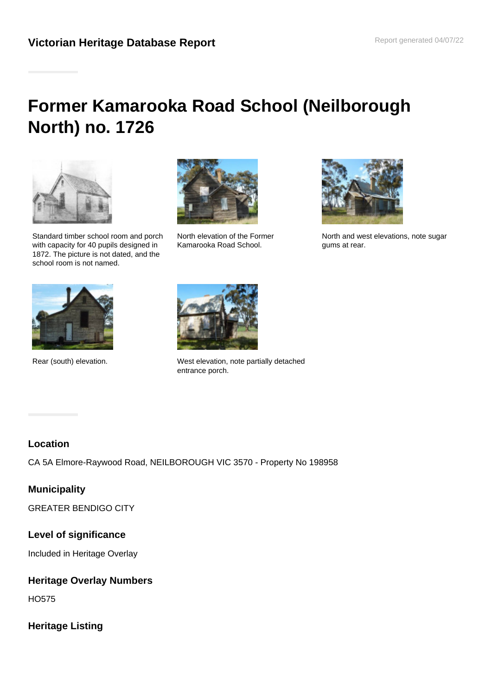# **Former Kamarooka Road School (Neilborough North) no. 1726**



Standard timber school room and porch with capacity for 40 pupils designed in 1872. The picture is not dated, and the school room is not named.



North elevation of the Former Kamarooka Road School.



North and west elevations, note sugar gums at rear.





Rear (south) elevation. West elevation, note partially detached entrance porch.

#### **Location**

CA 5A Elmore-Raywood Road, NEILBOROUGH VIC 3570 - Property No 198958

## **Municipality**

GREATER BENDIGO CITY

#### **Level of significance**

Included in Heritage Overlay

#### **Heritage Overlay Numbers**

HO575

#### **Heritage Listing**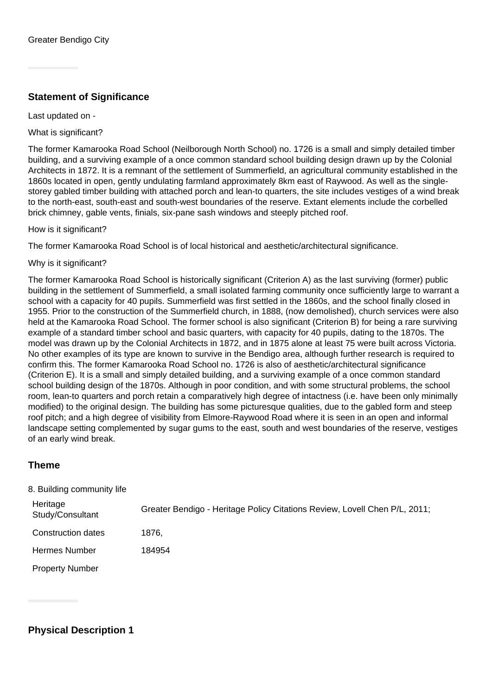### **Statement of Significance**

Last updated on -

What is significant?

The former Kamarooka Road School (Neilborough North School) no. 1726 is a small and simply detailed timber building, and a surviving example of a once common standard school building design drawn up by the Colonial Architects in 1872. It is a remnant of the settlement of Summerfield, an agricultural community established in the 1860s located in open, gently undulating farmland approximately 8km east of Raywood. As well as the singlestorey gabled timber building with attached porch and lean-to quarters, the site includes vestiges of a wind break to the north-east, south-east and south-west boundaries of the reserve. Extant elements include the corbelled brick chimney, gable vents, finials, six-pane sash windows and steeply pitched roof.

How is it significant?

The former Kamarooka Road School is of local historical and aesthetic/architectural significance.

Why is it significant?

The former Kamarooka Road School is historically significant (Criterion A) as the last surviving (former) public building in the settlement of Summerfield, a small isolated farming community once sufficiently large to warrant a school with a capacity for 40 pupils. Summerfield was first settled in the 1860s, and the school finally closed in 1955. Prior to the construction of the Summerfield church, in 1888, (now demolished), church services were also held at the Kamarooka Road School. The former school is also significant (Criterion B) for being a rare surviving example of a standard timber school and basic quarters, with capacity for 40 pupils, dating to the 1870s. The model was drawn up by the Colonial Architects in 1872, and in 1875 alone at least 75 were built across Victoria. No other examples of its type are known to survive in the Bendigo area, although further research is required to confirm this. The former Kamarooka Road School no. 1726 is also of aesthetic/architectural significance (Criterion E). It is a small and simply detailed building, and a surviving example of a once common standard school building design of the 1870s. Although in poor condition, and with some structural problems, the school room, lean-to quarters and porch retain a comparatively high degree of intactness (i.e. have been only minimally modified) to the original design. The building has some picturesque qualities, due to the gabled form and steep roof pitch; and a high degree of visibility from Elmore-Raywood Road where it is seen in an open and informal landscape setting complemented by sugar gums to the east, south and west boundaries of the reserve, vestiges of an early wind break.

#### **Theme**

| 8. Building community life   |                                                                            |
|------------------------------|----------------------------------------------------------------------------|
| Heritage<br>Study/Consultant | Greater Bendigo - Heritage Policy Citations Review, Lovell Chen P/L, 2011; |
| Construction dates           | 1876.                                                                      |
| <b>Hermes Number</b>         | 184954                                                                     |
| <b>Property Number</b>       |                                                                            |

**Physical Description 1**